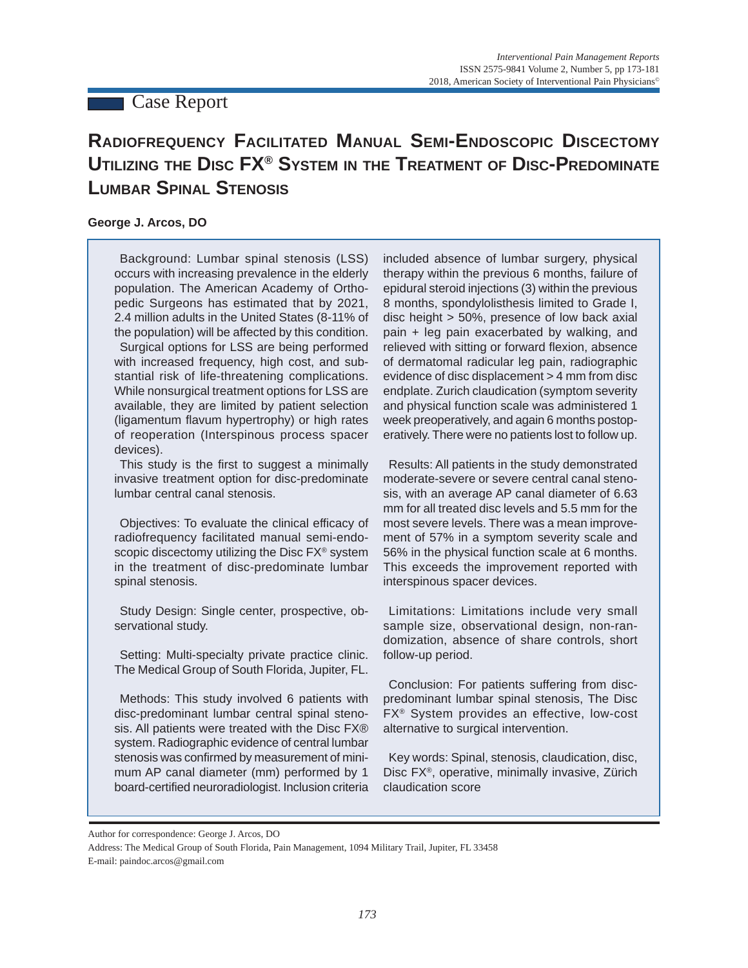# **Case Report**

# **RADIOFREQUENCY FACILITATED MANUAL SEMI-ENDOSCOPIC DISCECTOMY UTILIZING THE DISC FX® SYSTEM IN THE TREATMENT OF DISC-PREDOMINATE LUMBAR SPINAL STENOSIS**

# **George J. Arcos, DO**

Background: Lumbar spinal stenosis (LSS) occurs with increasing prevalence in the elderly population. The American Academy of Orthopedic Surgeons has estimated that by 2021, 2.4 million adults in the United States (8-11% of the population) will be affected by this condition. Surgical options for LSS are being performed with increased frequency, high cost, and substantial risk of life-threatening complications. While nonsurgical treatment options for LSS are available, they are limited by patient selection (ligamentum flavum hypertrophy) or high rates of reoperation (Interspinous process spacer devices).

This study is the first to suggest a minimally invasive treatment option for disc-predominate lumbar central canal stenosis.

Objectives: To evaluate the clinical efficacy of radiofrequency facilitated manual semi-endoscopic discectomy utilizing the Disc FX<sup>®</sup> system in the treatment of disc-predominate lumbar spinal stenosis.

Study Design: Single center, prospective, observational study.

Setting: Multi-specialty private practice clinic. The Medical Group of South Florida, Jupiter, FL.

Methods: This study involved 6 patients with disc-predominant lumbar central spinal stenosis. All patients were treated with the Disc FX® system. Radiographic evidence of central lumbar stenosis was confirmed by measurement of minimum AP canal diameter (mm) performed by 1 board-certified neuroradiologist. Inclusion criteria

included absence of lumbar surgery, physical therapy within the previous 6 months, failure of epidural steroid injections (3) within the previous 8 months, spondylolisthesis limited to Grade I, disc height > 50%, presence of low back axial pain + leg pain exacerbated by walking, and relieved with sitting or forward flexion, absence of dermatomal radicular leg pain, radiographic evidence of disc displacement > 4 mm from disc endplate. Zurich claudication (symptom severity and physical function scale was administered 1 week preoperatively, and again 6 months postoperatively. There were no patients lost to follow up.

Results: All patients in the study demonstrated moderate-severe or severe central canal stenosis, with an average AP canal diameter of 6.63 mm for all treated disc levels and 5.5 mm for the most severe levels. There was a mean improvement of 57% in a symptom severity scale and 56% in the physical function scale at 6 months. This exceeds the improvement reported with interspinous spacer devices.

Limitations: Limitations include very small sample size, observational design, non-randomization, absence of share controls, short follow-up period.

Conclusion: For patients suffering from discpredominant lumbar spinal stenosis, The Disc FX® System provides an effective, low-cost alternative to surgical intervention.

Key words: Spinal, stenosis, claudication, disc, Disc FX®, operative, minimally invasive, Zürich claudication score

Author for correspondence: George J. Arcos, DO

Address: The Medical Group of South Florida, Pain Management, 1094 Military Trail, Jupiter, FL 33458 E-mail: paindoc.arcos@gmail.com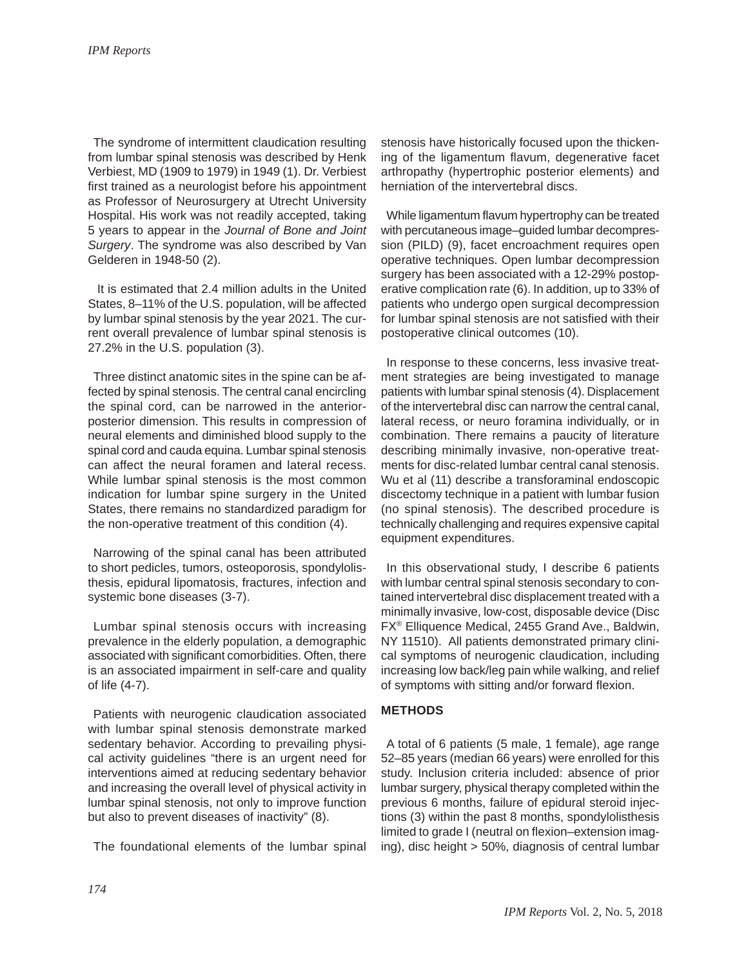The syndrome of intermittent claudication resulting from lumbar spinal stenosis was described by Henk Verbiest, MD (1909 to 1979) in 1949 (1). Dr. Verbiest first trained as a neurologist before his appointment as Professor of Neurosurgery at Utrecht University Hospital. His work was not readily accepted, taking 5 years to appear in the *Journal of Bone and Joint Surgery*. The syndrome was also described by Van Gelderen in 1948-50 (2).

 It is estimated that 2.4 million adults in the United States, 8–11% of the U.S. population, will be affected by lumbar spinal stenosis by the year 2021. The current overall prevalence of lumbar spinal stenosis is 27.2% in the U.S. population (3).

Three distinct anatomic sites in the spine can be affected by spinal stenosis. The central canal encircling the spinal cord, can be narrowed in the anteriorposterior dimension. This results in compression of neural elements and diminished blood supply to the spinal cord and cauda equina. Lumbar spinal stenosis can affect the neural foramen and lateral recess. While lumbar spinal stenosis is the most common indication for lumbar spine surgery in the United States, there remains no standardized paradigm for the non-operative treatment of this condition (4).

Narrowing of the spinal canal has been attributed to short pedicles, tumors, osteoporosis, spondylolisthesis, epidural lipomatosis, fractures, infection and systemic bone diseases (3-7).

Lumbar spinal stenosis occurs with increasing prevalence in the elderly population, a demographic associated with significant comorbidities. Often, there is an associated impairment in self-care and quality of life (4-7).

Patients with neurogenic claudication associated with lumbar spinal stenosis demonstrate marked sedentary behavior. According to prevailing physical activity guidelines "there is an urgent need for interventions aimed at reducing sedentary behavior and increasing the overall level of physical activity in lumbar spinal stenosis, not only to improve function but also to prevent diseases of inactivity" (8).

The foundational elements of the lumbar spinal

stenosis have historically focused upon the thickening of the ligamentum flavum, degenerative facet arthropathy (hypertrophic posterior elements) and herniation of the intervertebral discs.

While ligamentum flavum hypertrophy can be treated with percutaneous image–guided lumbar decompression (PILD) (9), facet encroachment requires open operative techniques. Open lumbar decompression surgery has been associated with a 12-29% postoperative complication rate (6). In addition, up to 33% of patients who undergo open surgical decompression for lumbar spinal stenosis are not satisfied with their postoperative clinical outcomes (10).

In response to these concerns, less invasive treatment strategies are being investigated to manage patients with lumbar spinal stenosis (4). Displacement of the intervertebral disc can narrow the central canal, lateral recess, or neuro foramina individually, or in combination. There remains a paucity of literature describing minimally invasive, non-operative treatments for disc-related lumbar central canal stenosis. Wu et al (11) describe a transforaminal endoscopic discectomy technique in a patient with lumbar fusion (no spinal stenosis). The described procedure is technically challenging and requires expensive capital equipment expenditures.

In this observational study, I describe 6 patients with lumbar central spinal stenosis secondary to contained intervertebral disc displacement treated with a minimally invasive, low-cost, disposable device (Disc FX® Elliquence Medical, 2455 Grand Ave., Baldwin, NY 11510). All patients demonstrated primary clinical symptoms of neurogenic claudication, including increasing low back/leg pain while walking, and relief of symptoms with sitting and/or forward flexion.

# **METHODS**

A total of 6 patients (5 male, 1 female), age range 52–85 years (median 66 years) were enrolled for this study. Inclusion criteria included: absence of prior lumbar surgery, physical therapy completed within the previous 6 months, failure of epidural steroid injections (3) within the past 8 months, spondylolisthesis limited to grade I (neutral on flexion–extension imaging), disc height > 50%, diagnosis of central lumbar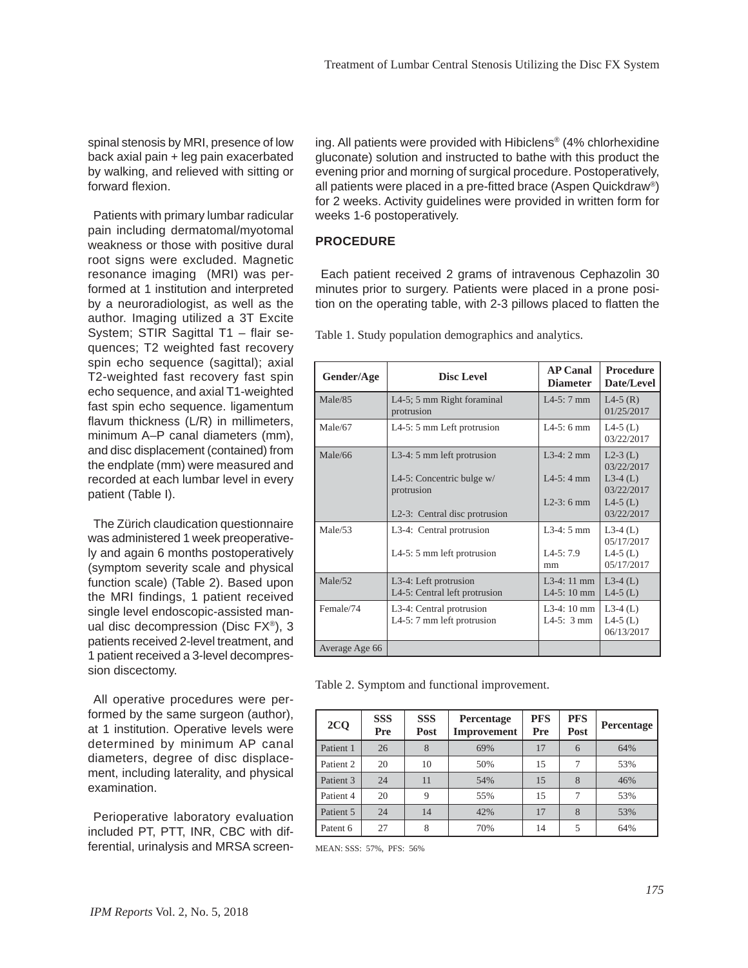spinal stenosis by MRI, presence of low back axial pain + leg pain exacerbated by walking, and relieved with sitting or forward flexion.

Patients with primary lumbar radicular pain including dermatomal/myotomal weakness or those with positive dural root signs were excluded. Magnetic resonance imaging (MRI) was performed at 1 institution and interpreted by a neuroradiologist, as well as the author. Imaging utilized a 3T Excite System; STIR Sagittal T1 – flair sequences; T2 weighted fast recovery spin echo sequence (sagittal); axial T2-weighted fast recovery fast spin echo sequence, and axial T1-weighted fast spin echo sequence. ligamentum flavum thickness (L/R) in millimeters, minimum A–P canal diameters (mm), and disc displacement (contained) from the endplate (mm) were measured and recorded at each lumbar level in every patient (Table I).

The Zürich claudication questionnaire was administered 1 week preoperatively and again 6 months postoperatively (symptom severity scale and physical function scale) (Table 2). Based upon the MRI findings, 1 patient received single level endoscopic-assisted manual disc decompression (Disc FX®), 3 patients received 2-level treatment, and 1 patient received a 3-level decompression discectomy.

All operative procedures were performed by the same surgeon (author), at 1 institution. Operative levels were determined by minimum AP canal diameters, degree of disc displacement, including laterality, and physical examination.

Perioperative laboratory evaluation included PT, PTT, INR, CBC with differential, urinalysis and MRSA screen-

ing. All patients were provided with Hibiclens® (4% chlorhexidine gluconate) solution and instructed to bathe with this product the evening prior and morning of surgical procedure. Postoperatively, all patients were placed in a pre-fitted brace (Aspen Quickdraw®) for 2 weeks. Activity guidelines were provided in written form for weeks 1-6 postoperatively.

# **PROCEDURE**

Each patient received 2 grams of intravenous Cephazolin 30 minutes prior to surgery. Patients were placed in a prone position on the operating table, with 2-3 pillows placed to flatten the

| Gender/Age     | <b>Disc Level</b>                                      | <b>AP Canal</b><br><b>Diameter</b>  | <b>Procedure</b><br>Date/Level        |
|----------------|--------------------------------------------------------|-------------------------------------|---------------------------------------|
| Male/85        | L4-5; 5 mm Right foraminal<br>protrusion               | $I$ 4-5: 7 mm                       | $L4-5(R)$<br>01/25/2017               |
| Male/67        | L4-5: 5 mm Left protrusion                             | $I.4-5:6$ mm                        | $L4-5$ (L)<br>03/22/2017              |
| Male/66        | L3-4: 5 mm left protrusion                             | $1.3-4:2$ mm                        | $L2-3$ (L)<br>03/22/2017              |
|                | L4-5: Concentric bulge w/<br>protrusion                | $I$ 4-5: 4 mm                       | $L3-4(L)$<br>03/22/2017               |
|                | L <sub>2</sub> -3: Central disc protrusion             | $L2-3:6$ mm                         | $L4-5$ (L)<br>03/22/2017              |
| Male/53        | L3-4: Central protrusion                               | $1.3-4:5$ mm                        | $L3-4(L)$<br>05/17/2017               |
|                | L4-5: $5 \text{ mm}$ left protrusion                   | $IA-5:7.9$<br>mm                    | $L4-5$ (L)<br>05/17/2017              |
| Male/52        | L3-4: Left protrusion<br>L4-5: Central left protrusion | $L3-4:11$ mm<br>$I$ 4-5: 10 mm      | $L3-4(L)$<br>$L4-5$ (L)               |
| Female/74      | L3-4: Central protrusion<br>L4-5: 7 mm left protrusion | $L3-4:10$ mm<br>$L4-5:3 \text{ mm}$ | $L3-4(L)$<br>$L4-5$ (L)<br>06/13/2017 |
| Average Age 66 |                                                        |                                     |                                       |

Table 1. Study population demographics and analytics.

Table 2. Symptom and functional improvement.

| 2 <sub>Q</sub> | <b>SSS</b><br>Pre | <b>SSS</b><br>Post | Percentage<br>Improvement | <b>PFS</b><br>Pre | <b>PFS</b><br>Post | Percentage |
|----------------|-------------------|--------------------|---------------------------|-------------------|--------------------|------------|
| Patient 1      | 26                | 8                  | 69%                       | 17                | 6                  | 64%        |
| Patient 2      | 20                | 10                 | 50%                       | 15                |                    | 53%        |
| Patient 3      | 24                | 11                 | 54%                       | 15                | 8                  | 46%        |
| Patient 4      | 20                | 9                  | 55%                       | 15                |                    | 53%        |
| Patient 5      | 24                | 14                 | 42%                       | 17                | $\mathbf{8}$       | 53%        |
| Patent 6       | 27                | 8                  | 70%                       | 14                | 5                  | 64%        |

MEAN: SSS: 57%, PFS: 56%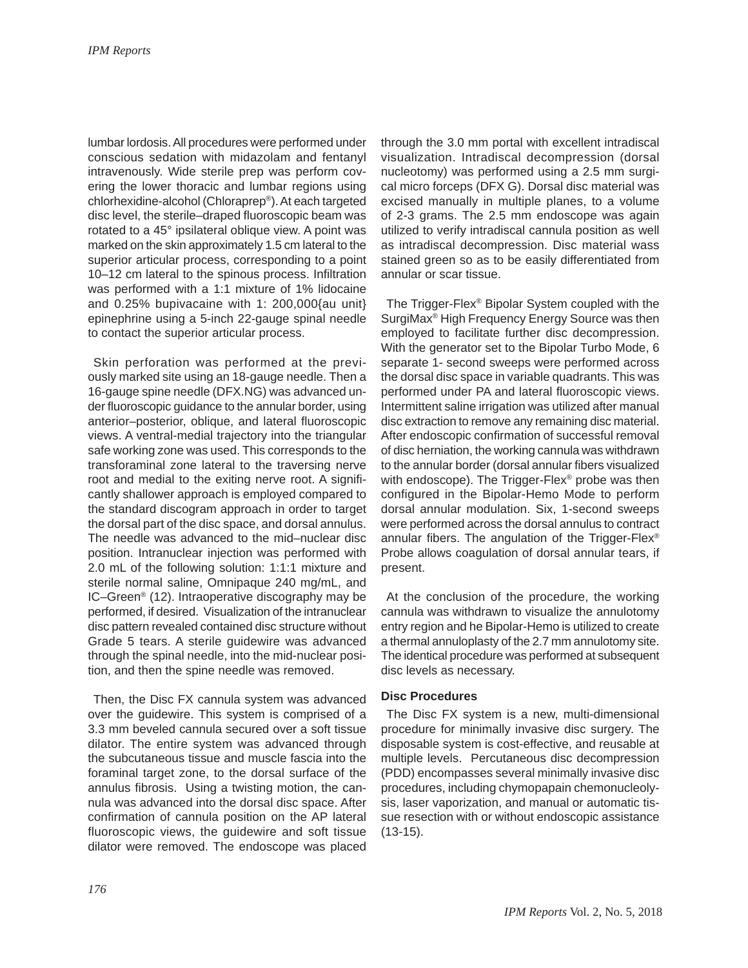lumbar lordosis. All procedures were performed under conscious sedation with midazolam and fentanyl intravenously. Wide sterile prep was perform covering the lower thoracic and lumbar regions using chlorhexidine-alcohol (Chloraprep®). At each targeted disc level, the sterile–draped fluoroscopic beam was rotated to a 45° ipsilateral oblique view. A point was marked on the skin approximately 1.5 cm lateral to the superior articular process, corresponding to a point 10–12 cm lateral to the spinous process. Infiltration was performed with a 1:1 mixture of 1% lidocaine and 0.25% bupivacaine with 1: 200,000{au unit} epinephrine using a 5-inch 22-gauge spinal needle to contact the superior articular process.

Skin perforation was performed at the previously marked site using an 18-gauge needle. Then a 16-gauge spine needle (DFX.NG) was advanced under fluoroscopic guidance to the annular border, using anterior–posterior, oblique, and lateral fluoroscopic views. A ventral-medial trajectory into the triangular safe working zone was used. This corresponds to the transforaminal zone lateral to the traversing nerve root and medial to the exiting nerve root. A significantly shallower approach is employed compared to the standard discogram approach in order to target the dorsal part of the disc space, and dorsal annulus. The needle was advanced to the mid–nuclear disc position. Intranuclear injection was performed with 2.0 mL of the following solution: 1:1:1 mixture and sterile normal saline, Omnipaque 240 mg/mL, and IC–Green® (12). Intraoperative discography may be performed, if desired. Visualization of the intranuclear disc pattern revealed contained disc structure without Grade 5 tears. A sterile guidewire was advanced through the spinal needle, into the mid-nuclear position, and then the spine needle was removed.

Then, the Disc FX cannula system was advanced over the guidewire. This system is comprised of a 3.3 mm beveled cannula secured over a soft tissue dilator. The entire system was advanced through the subcutaneous tissue and muscle fascia into the foraminal target zone, to the dorsal surface of the annulus fibrosis. Using a twisting motion, the cannula was advanced into the dorsal disc space. After confirmation of cannula position on the AP lateral fluoroscopic views, the guidewire and soft tissue dilator were removed. The endoscope was placed

through the 3.0 mm portal with excellent intradiscal visualization. Intradiscal decompression (dorsal nucleotomy) was performed using a 2.5 mm surgical micro forceps (DFX G). Dorsal disc material was excised manually in multiple planes, to a volume of 2-3 grams. The 2.5 mm endoscope was again utilized to verify intradiscal cannula position as well as intradiscal decompression. Disc material wass stained green so as to be easily differentiated from annular or scar tissue.

The Trigger-Flex® Bipolar System coupled with the SurgiMax® High Frequency Energy Source was then employed to facilitate further disc decompression. With the generator set to the Bipolar Turbo Mode, 6 separate 1- second sweeps were performed across the dorsal disc space in variable quadrants. This was performed under PA and lateral fluoroscopic views. Intermittent saline irrigation was utilized after manual disc extraction to remove any remaining disc material. After endoscopic confirmation of successful removal of disc herniation, the working cannula was withdrawn to the annular border (dorsal annular fibers visualized with endoscope). The Trigger-Flex® probe was then configured in the Bipolar-Hemo Mode to perform dorsal annular modulation. Six, 1-second sweeps were performed across the dorsal annulus to contract annular fibers. The angulation of the Trigger-Flex® Probe allows coagulation of dorsal annular tears, if present.

At the conclusion of the procedure, the working cannula was withdrawn to visualize the annulotomy entry region and he Bipolar-Hemo is utilized to create a thermal annuloplasty of the 2.7 mm annulotomy site. The identical procedure was performed at subsequent disc levels as necessary.

#### **Disc Procedures**

The Disc FX system is a new, multi-dimensional procedure for minimally invasive disc surgery. The disposable system is cost-effective, and reusable at multiple levels. Percutaneous disc decompression (PDD) encompasses several minimally invasive disc procedures, including chymopapain chemonucleolysis, laser vaporization, and manual or automatic tissue resection with or without endoscopic assistance (13-15).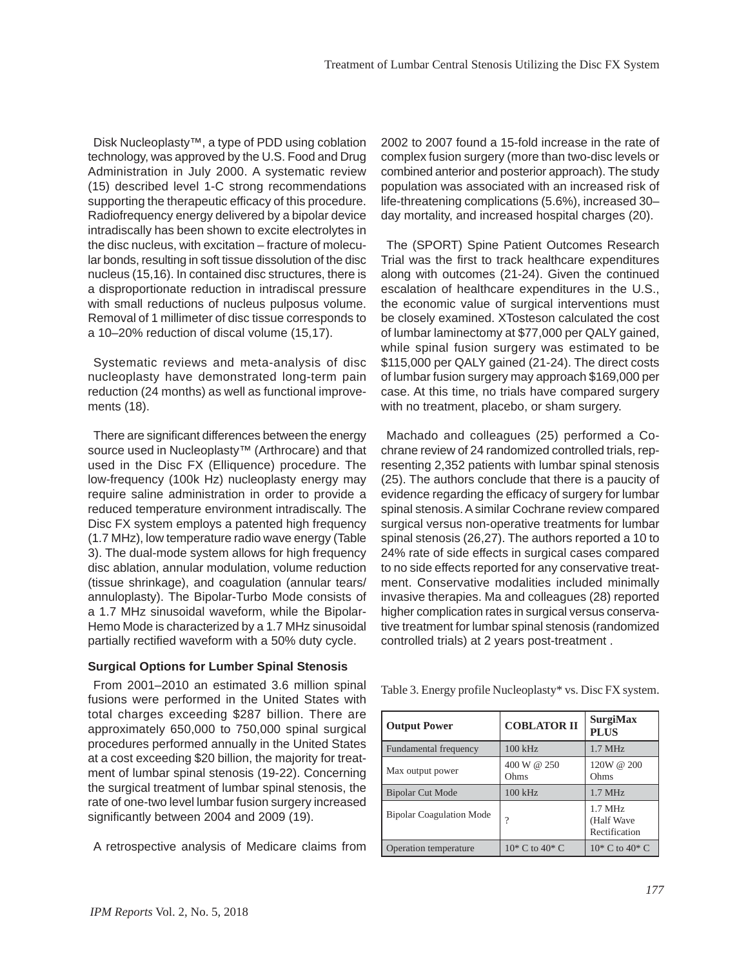Disk Nucleoplasty™, a type of PDD using coblation technology, was approved by the U.S. Food and Drug Administration in July 2000. A systematic review (15) described level 1-C strong recommendations supporting the therapeutic efficacy of this procedure. Radiofrequency energy delivered by a bipolar device intradiscally has been shown to excite electrolytes in the disc nucleus, with excitation – fracture of molecular bonds, resulting in soft tissue dissolution of the disc nucleus (15,16). In contained disc structures, there is a disproportionate reduction in intradiscal pressure with small reductions of nucleus pulposus volume. Removal of 1 millimeter of disc tissue corresponds to a 10–20% reduction of discal volume (15,17).

Systematic reviews and meta-analysis of disc nucleoplasty have demonstrated long-term pain reduction (24 months) as well as functional improvements (18).

There are significant differences between the energy source used in Nucleoplasty<sup>™</sup> (Arthrocare) and that used in the Disc FX (Elliquence) procedure. The low-frequency (100k Hz) nucleoplasty energy may require saline administration in order to provide a reduced temperature environment intradiscally. The Disc FX system employs a patented high frequency (1.7 MHz), low temperature radio wave energy (Table 3). The dual-mode system allows for high frequency disc ablation, annular modulation, volume reduction (tissue shrinkage), and coagulation (annular tears/ annuloplasty). The Bipolar-Turbo Mode consists of a 1.7 MHz sinusoidal waveform, while the Bipolar-Hemo Mode is characterized by a 1.7 MHz sinusoidal partially rectified waveform with a 50% duty cycle.

#### **Surgical Options for Lumber Spinal Stenosis**

From 2001–2010 an estimated 3.6 million spinal fusions were performed in the United States with total charges exceeding \$287 billion. There are approximately 650,000 to 750,000 spinal surgical procedures performed annually in the United States at a cost exceeding \$20 billion, the majority for treatment of lumbar spinal stenosis (19-22). Concerning the surgical treatment of lumbar spinal stenosis, the rate of one-two level lumbar fusion surgery increased significantly between 2004 and 2009 (19).

A retrospective analysis of Medicare claims from

2002 to 2007 found a 15-fold increase in the rate of complex fusion surgery (more than two-disc levels or combined anterior and posterior approach). The study population was associated with an increased risk of life-threatening complications (5.6%), increased 30– day mortality, and increased hospital charges (20).

The (SPORT) Spine Patient Outcomes Research Trial was the first to track healthcare expenditures along with outcomes (21-24). Given the continued escalation of healthcare expenditures in the U.S., the economic value of surgical interventions must be closely examined. XTosteson calculated the cost of lumbar laminectomy at \$77,000 per QALY gained, while spinal fusion surgery was estimated to be \$115,000 per QALY gained (21-24). The direct costs of lumbar fusion surgery may approach \$169,000 per case. At this time, no trials have compared surgery with no treatment, placebo, or sham surgery.

Machado and colleagues (25) performed a Cochrane review of 24 randomized controlled trials, representing 2,352 patients with lumbar spinal stenosis (25). The authors conclude that there is a paucity of evidence regarding the efficacy of surgery for lumbar spinal stenosis. A similar Cochrane review compared surgical versus non-operative treatments for lumbar spinal stenosis (26,27). The authors reported a 10 to 24% rate of side effects in surgical cases compared to no side effects reported for any conservative treatment. Conservative modalities included minimally invasive therapies. Ma and colleagues (28) reported higher complication rates in surgical versus conservative treatment for lumbar spinal stenosis (randomized controlled trials) at 2 years post-treatment .

Table 3. Energy profile Nucleoplasty\* vs. Disc FX system.

| <b>Output Power</b>             | <b>COBLATOR II</b>   | <b>SurgiMax</b><br><b>PLUS</b>           |
|---------------------------------|----------------------|------------------------------------------|
| Fundamental frequency           | $100$ kHz            | $1.7$ MHz                                |
| Max output power                | 400 W @ 250<br>Ohms  | 120W @ 200<br>Ohms                       |
| <b>Bipolar Cut Mode</b>         | 100 kHz              | $1.7$ MHz                                |
| <b>Bipolar Coagulation Mode</b> | 9                    | $1.7$ MHz<br>(Half Wave<br>Rectification |
| Operation temperature           | $10^*$ C to $40^*$ C | $10^* C$ to $40^* C$                     |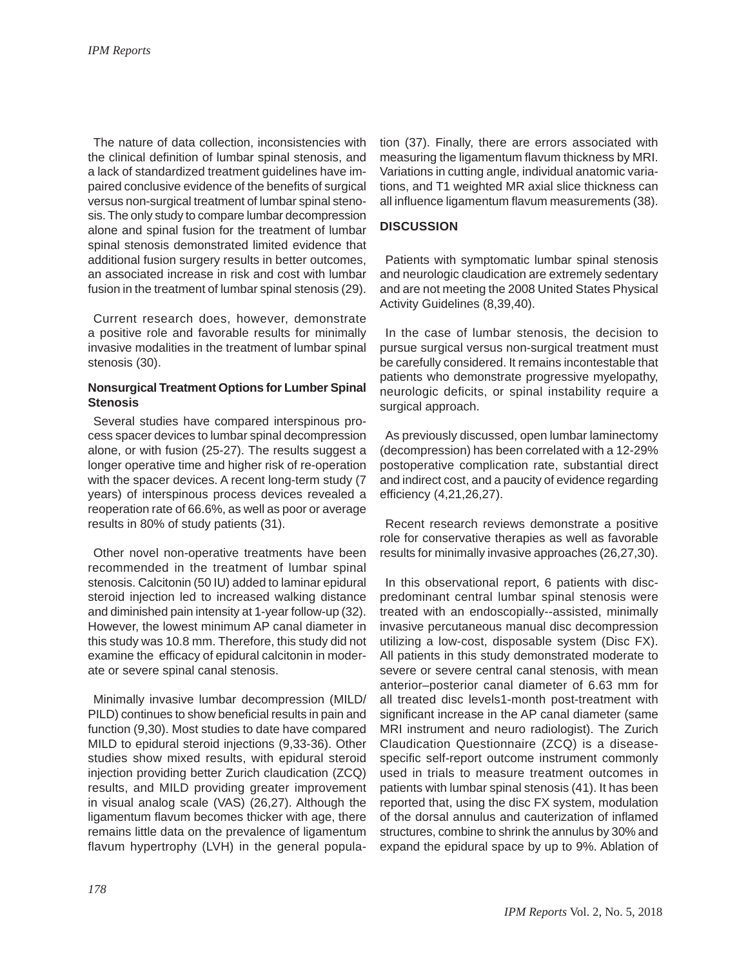The nature of data collection, inconsistencies with the clinical definition of lumbar spinal stenosis, and a lack of standardized treatment guidelines have impaired conclusive evidence of the benefits of surgical versus non-surgical treatment of lumbar spinal stenosis. The only study to compare lumbar decompression alone and spinal fusion for the treatment of lumbar spinal stenosis demonstrated limited evidence that additional fusion surgery results in better outcomes, an associated increase in risk and cost with lumbar fusion in the treatment of lumbar spinal stenosis (29).

Current research does, however, demonstrate a positive role and favorable results for minimally invasive modalities in the treatment of lumbar spinal stenosis (30).

# **Nonsurgical Treatment Options for Lumber Spinal Stenosis**

Several studies have compared interspinous process spacer devices to lumbar spinal decompression alone, or with fusion (25-27). The results suggest a longer operative time and higher risk of re-operation with the spacer devices. A recent long-term study (7 years) of interspinous process devices revealed a reoperation rate of 66.6%, as well as poor or average results in 80% of study patients (31).

Other novel non-operative treatments have been recommended in the treatment of lumbar spinal stenosis. Calcitonin (50 IU) added to laminar epidural steroid injection led to increased walking distance and diminished pain intensity at 1-year follow-up (32). However, the lowest minimum AP canal diameter in this study was 10.8 mm. Therefore, this study did not examine the efficacy of epidural calcitonin in moderate or severe spinal canal stenosis.

Minimally invasive lumbar decompression (MILD/ PILD) continues to show beneficial results in pain and function (9,30). Most studies to date have compared MILD to epidural steroid injections (9,33-36). Other studies show mixed results, with epidural steroid injection providing better Zurich claudication (ZCQ) results, and MILD providing greater improvement in visual analog scale (VAS) (26,27). Although the ligamentum flavum becomes thicker with age, there remains little data on the prevalence of ligamentum flavum hypertrophy (LVH) in the general popula-

tion (37). Finally, there are errors associated with measuring the ligamentum flavum thickness by MRI. Variations in cutting angle, individual anatomic variations, and T1 weighted MR axial slice thickness can all influence ligamentum flavum measurements (38).

# **DISCUSSION**

Patients with symptomatic lumbar spinal stenosis and neurologic claudication are extremely sedentary and are not meeting the 2008 United States Physical Activity Guidelines (8,39,40).

In the case of lumbar stenosis, the decision to pursue surgical versus non-surgical treatment must be carefully considered. It remains incontestable that patients who demonstrate progressive myelopathy, neurologic deficits, or spinal instability require a surgical approach.

As previously discussed, open lumbar laminectomy (decompression) has been correlated with a 12-29% postoperative complication rate, substantial direct and indirect cost, and a paucity of evidence regarding efficiency (4,21,26,27).

Recent research reviews demonstrate a positive role for conservative therapies as well as favorable results for minimally invasive approaches (26,27,30).

In this observational report, 6 patients with discpredominant central lumbar spinal stenosis were treated with an endoscopially--assisted, minimally invasive percutaneous manual disc decompression utilizing a low-cost, disposable system (Disc FX). All patients in this study demonstrated moderate to severe or severe central canal stenosis, with mean anterior–posterior canal diameter of 6.63 mm for all treated disc levels1-month post-treatment with significant increase in the AP canal diameter (same MRI instrument and neuro radiologist). The Zurich Claudication Questionnaire (ZCQ) is a diseasespecific self-report outcome instrument commonly used in trials to measure treatment outcomes in patients with lumbar spinal stenosis (41). It has been reported that, using the disc FX system, modulation of the dorsal annulus and cauterization of inflamed structures, combine to shrink the annulus by 30% and expand the epidural space by up to 9%. Ablation of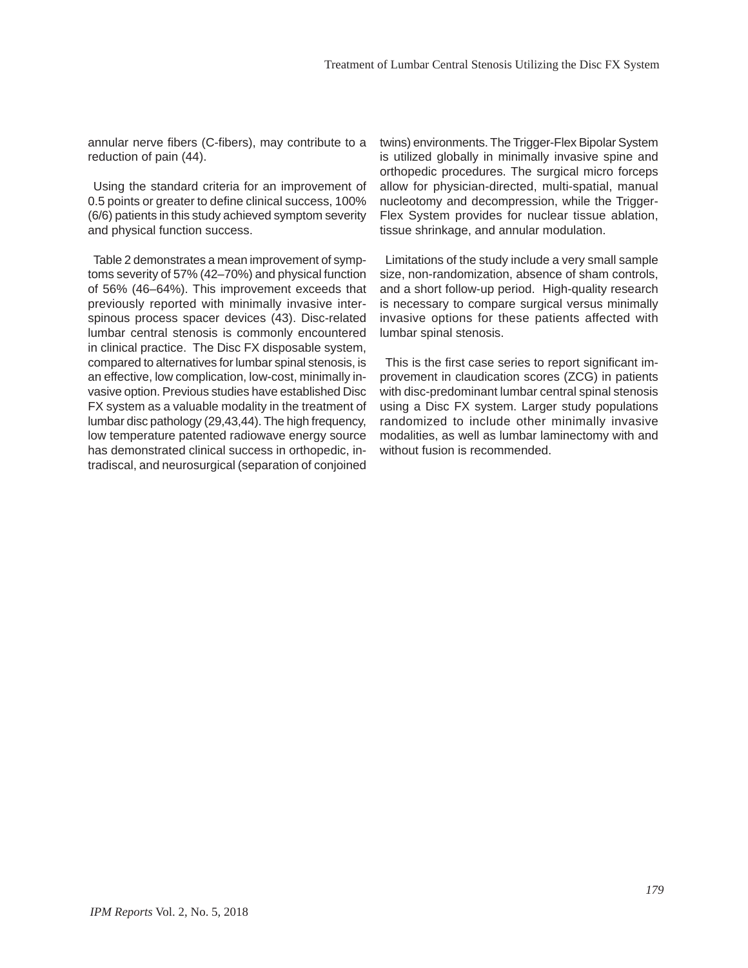annular nerve fibers (C-fibers), may contribute to a reduction of pain (44).

Using the standard criteria for an improvement of 0.5 points or greater to define clinical success, 100% (6/6) patients in this study achieved symptom severity and physical function success.

Table 2 demonstrates a mean improvement of symptoms severity of 57% (42–70%) and physical function of 56% (46–64%). This improvement exceeds that previously reported with minimally invasive interspinous process spacer devices (43). Disc-related lumbar central stenosis is commonly encountered in clinical practice. The Disc FX disposable system, compared to alternatives for lumbar spinal stenosis, is an effective, low complication, low-cost, minimally invasive option. Previous studies have established Disc FX system as a valuable modality in the treatment of lumbar disc pathology (29,43,44). The high frequency, low temperature patented radiowave energy source has demonstrated clinical success in orthopedic, intradiscal, and neurosurgical (separation of conjoined

twins) environments. The Trigger-Flex Bipolar System is utilized globally in minimally invasive spine and orthopedic procedures. The surgical micro forceps allow for physician-directed, multi-spatial, manual nucleotomy and decompression, while the Trigger-Flex System provides for nuclear tissue ablation, tissue shrinkage, and annular modulation.

Limitations of the study include a very small sample size, non-randomization, absence of sham controls, and a short follow-up period. High-quality research is necessary to compare surgical versus minimally invasive options for these patients affected with lumbar spinal stenosis.

This is the first case series to report significant improvement in claudication scores (ZCG) in patients with disc-predominant lumbar central spinal stenosis using a Disc FX system. Larger study populations randomized to include other minimally invasive modalities, as well as lumbar laminectomy with and without fusion is recommended.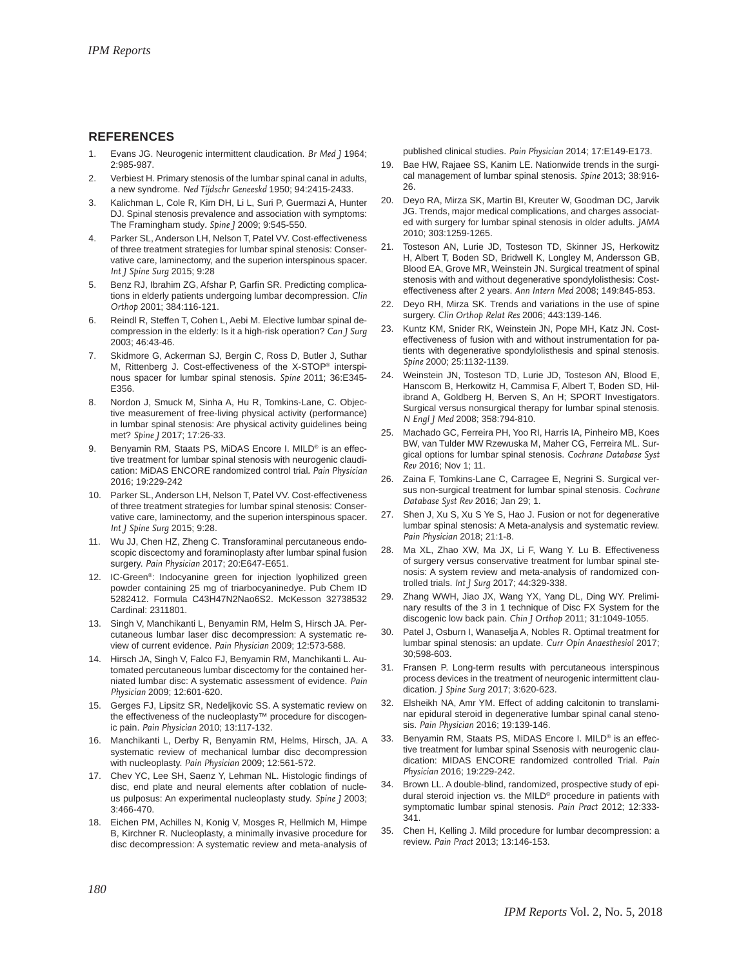#### **REFERENCES**

- 1. Evans JG. Neurogenic intermittent claudication. *Br Med J* 1964; 2:985-987.
- 2. Verbiest H. Primary stenosis of the lumbar spinal canal in adults, a new syndrome. *Ned Tijdschr Geneeskd* 1950; 94:2415-2433.
- 3. Kalichman L, Cole R, Kim DH, Li L, Suri P, Guermazi A, Hunter DJ. Spinal stenosis prevalence and association with symptoms: The Framingham study*. Spine J* 2009; 9:545-550.
- 4. Parker SL, Anderson LH, Nelson T, Patel VV. Cost-effectiveness of three treatment strategies for lumbar spinal stenosis: Conservative care, laminectomy, and the superion interspinous spacer*. Int J Spine Surg* 2015; 9:28
- 5. Benz RJ, Ibrahim ZG, Afshar P, Garfin SR. Predicting complications in elderly patients undergoing lumbar decompression. *Clin Orthop* 2001; 384:116-121.
- 6. Reindl R, Steffen T, Cohen L, Aebi M. Elective lumbar spinal decompression in the elderly: Is it a high-risk operation? *Can J Surg* 2003; 46:43-46.
- 7. Skidmore G, Ackerman SJ, Bergin C, Ross D, Butler J, Suthar M, Rittenberg J. Cost-effectiveness of the X-STOP® interspinous spacer for lumbar spinal stenosis. *Spine* 2011; 36:E345- E356.
- 8. Nordon J, Smuck M, Sinha A, Hu R, Tomkins-Lane, C. Objective measurement of free-living physical activity (performance) in lumbar spinal stenosis: Are physical activity guidelines being met? *Spine J* 2017; 17:26-33.
- Benyamin RM, Staats PS, MiDAS Encore I. MILD® is an effective treatment for lumbar spinal stenosis with neurogenic claudication: MiDAS ENCORE randomized control trial*. Pain Physician* 2016; 19:229-242
- 10. Parker SL, Anderson LH, Nelson T, Patel VV. Cost-effectiveness of three treatment strategies for lumbar spinal stenosis: Conservative care, laminectomy, and the superion interspinous spacer*. Int J Spine Surg* 2015; 9:28.
- 11. Wu JJ, Chen HZ, Zheng C. Transforaminal percutaneous endoscopic discectomy and foraminoplasty after lumbar spinal fusion surgery. *Pain Physician* 2017; 20:E647-E651.
- 12. IC-Green®: Indocyanine green for injection lyophilized green powder containing 25 mg of triarbocyaninedye. Pub Chem ID 5282412. Formula C43H47N2Nao6S2. McKesson 32738532 Cardinal: 2311801.
- 13. Singh V, Manchikanti L, Benyamin RM, Helm S, Hirsch JA. Percutaneous lumbar laser disc decompression: A systematic review of current evidence. *Pain Physician* 2009; 12:573-588.
- 14. Hirsch JA, Singh V, Falco FJ, Benyamin RM, Manchikanti L. Automated percutaneous lumbar discectomy for the contained herniated lumbar disc: A systematic assessment of evidence. *Pain Physician* 2009; 12:601-620.
- 15. Gerges FJ, Lipsitz SR, Nedeljkovic SS. A systematic review on the effectiveness of the nucleoplasty™ procedure for discogenic pain. *Pain Physician* 2010; 13:117-132.
- 16. Manchikanti L, Derby R, Benyamin RM, Helms, Hirsch, JA. A systematic review of mechanical lumbar disc decompression with nucleoplasty. *Pain Physician* 2009; 12:561-572.
- 17. Chev YC, Lee SH, Saenz Y, Lehman NL. Histologic findings of disc, end plate and neural elements after coblation of nucleus pulposus: An experimental nucleoplasty study. *Spine J* 2003; 3:466-470.
- 18. Eichen PM, Achilles N, Konig V, Mosges R, Hellmich M, Himpe B, Kirchner R. Nucleoplasty, a minimally invasive procedure for disc decompression: A systematic review and meta-analysis of

published clinical studies. *Pain Physician* 2014; 17:E149-E173.

- 19. Bae HW, Rajaee SS, Kanim LE. Nationwide trends in the surgical management of lumbar spinal stenosis. *Spine* 2013; 38:916- 26.
- 20. Deyo RA, Mirza SK, Martin BI, Kreuter W, Goodman DC, Jarvik JG. Trends, major medical complications, and charges associated with surgery for lumbar spinal stenosis in older adults. *JAMA* 2010; 303:1259-1265.
- 21. Tosteson AN, Lurie JD, Tosteson TD, Skinner JS, Herkowitz H, Albert T, Boden SD, Bridwell K, Longley M, Andersson GB, Blood EA, Grove MR, Weinstein JN. Surgical treatment of spinal stenosis with and without degenerative spondylolisthesis: Costeffectiveness after 2 years. *Ann Intern Med* 2008; 149:845-853.
- 22. Deyo RH, Mirza SK. Trends and variations in the use of spine surgery. *Clin Orthop Relat Res* 2006; 443:139-146.
- 23. Kuntz KM, Snider RK, Weinstein JN, Pope MH, Katz JN. Costeffectiveness of fusion with and without instrumentation for patients with degenerative spondylolisthesis and spinal stenosis. *Spine* 2000; 25:1132-1139.
- 24. Weinstein JN, Tosteson TD, Lurie JD, Tosteson AN, Blood E, Hanscom B, Herkowitz H, Cammisa F, Albert T, Boden SD, Hilibrand A, Goldberg H, Berven S, An H; SPORT Investigators. Surgical versus nonsurgical therapy for lumbar spinal stenosis. *N Engl J Med* 2008; 358:794-810.
- 25. Machado GC, Ferreira PH, Yoo RI, Harris IA, Pinheiro MB, Koes BW, van Tulder MW Rzewuska M, Maher CG, Ferreira ML. Surgical options for lumbar spinal stenosis. *Cochrane Database Syst Rev* 2016; Nov 1; 11.
- 26. Zaina F, Tomkins-Lane C, Carragee E, Negrini S. Surgical versus non-surgical treatment for lumbar spinal stenosis. *Cochrane Database Syst Rev* 2016; Jan 29; 1.
- 27. Shen J, Xu S, Xu S Ye S, Hao J. Fusion or not for degenerative lumbar spinal stenosis: A Meta-analysis and systematic review. *Pain Physician* 2018; 21:1-8.
- 28. Ma XL, Zhao XW, Ma JX, Li F, Wang Y. Lu B. Effectiveness of surgery versus conservative treatment for lumbar spinal stenosis: A system review and meta-analysis of randomized controlled trials. *Int J Surg* 2017; 44:329-338.
- 29. Zhang WWH, Jiao JX, Wang YX, Yang DL, Ding WY. Preliminary results of the 3 in 1 technique of Disc FX System for the discogenic low back pain. *Chin J Orthop* 2011; 31:1049-1055.
- 30. Patel J, Osburn I, Wanaselja A, Nobles R. Optimal treatment for lumbar spinal stenosis: an update. *Curr Opin Anaesthesiol* 2017; 30;598-603.
- 31. Fransen P. Long-term results with percutaneous interspinous process devices in the treatment of neurogenic intermittent claudication. *J Spine Surg* 2017; 3:620-623.
- Elsheikh NA, Amr YM. Effect of adding calcitonin to translaminar epidural steroid in degenerative lumbar spinal canal stenosis. *Pain Physician* 2016; 19:139-146.
- 33. Benyamin RM, Staats PS, MiDAS Encore I. MILD® is an effective treatment for lumbar spinal Ssenosis with neurogenic claudication: MIDAS ENCORE randomized controlled Trial. *Pain Physician* 2016; 19:229-242.
- 34. Brown LL. A double-blind, randomized, prospective study of epidural steroid injection vs. the MILD® procedure in patients with symptomatic lumbar spinal stenosis. *Pain Pract* 2012; 12:333- 341.
- 35. Chen H, Kelling J. Mild procedure for lumbar decompression: a review. *Pain Pract* 2013; 13:146-153.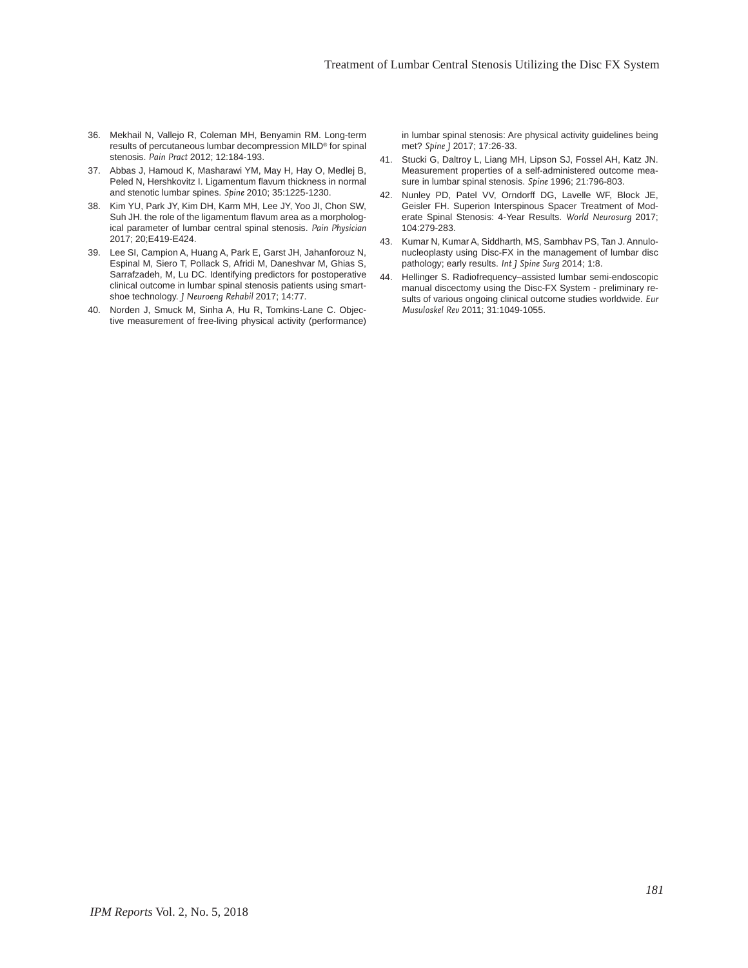- 36. Mekhail N, Vallejo R, Coleman MH, Benyamin RM. Long-term results of percutaneous lumbar decompression MILD® for spinal stenosis. *Pain Pract* 2012; 12:184-193.
- 37. Abbas J, Hamoud K, Masharawi YM, May H, Hay O, Medlej B, Peled N, Hershkovitz I. Ligamentum flavum thickness in normal and stenotic lumbar spines. *Spine* 2010; 35:1225-1230.
- 38. Kim YU, Park JY, Kim DH, Karm MH, Lee JY, Yoo JI, Chon SW, Suh JH. the role of the ligamentum flavum area as a morphological parameter of lumbar central spinal stenosis. *Pain Physician* 2017; 20;E419-E424.
- 39. Lee SI, Campion A, Huang A, Park E, Garst JH, Jahanforouz N, Espinal M, Siero T, Pollack S, Afridi M, Daneshvar M, Ghias S, Sarrafzadeh, M, Lu DC. Identifying predictors for postoperative clinical outcome in lumbar spinal stenosis patients using smartshoe technology. *J Neuroeng Rehabil* 2017; 14:77.
- 40. Norden J, Smuck M, Sinha A, Hu R, Tomkins-Lane C. Objective measurement of free-living physical activity (performance)

in lumbar spinal stenosis: Are physical activity guidelines being met? *Spine J* 2017; 17:26-33.

- 41. Stucki G, Daltroy L, Liang MH, Lipson SJ, Fossel AH, Katz JN. Measurement properties of a self-administered outcome measure in lumbar spinal stenosis. *Spine* 1996; 21:796-803.
- 42. Nunley PD, Patel VV, Orndorff DG, Lavelle WF, Block JE, Geisler FH. Superion Interspinous Spacer Treatment of Moderate Spinal Stenosis: 4-Year Results. *World Neurosurg* 2017; 104:279-283.
- 43. Kumar N, Kumar A, Siddharth, MS, Sambhav PS, Tan J. Annulonucleoplasty using Disc-FX in the management of lumbar disc pathology; early results. *Int J Spine Surg* 2014; 1:8.
- 44. Hellinger S. Radiofrequency–assisted lumbar semi-endoscopic manual discectomy using the Disc-FX System - preliminary results of various ongoing clinical outcome studies worldwide. *Eur Musuloskel Rev* 2011; 31:1049-1055.